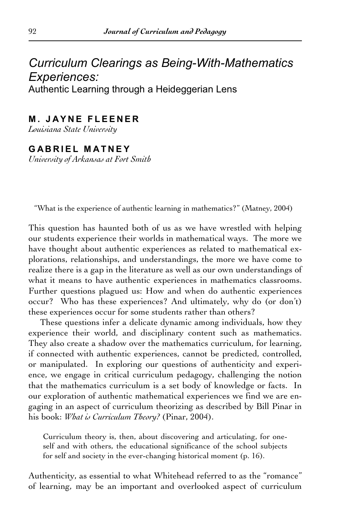*Curriculum Clearings as Being-With-Mathematics Experiences:*  Authentic Learning through a Heideggerian Lens

## **M. JAYNE FLEENER**

*Louisiana State University* 

#### **GABRIEL MATNEY**

*University of Arkansas at Fort Smith* 

"What is the experience of authentic learning in mathematics?" (Matney, 2004)

This question has haunted both of us as we have wrestled with helping our students experience their worlds in mathematical ways. The more we have thought about authentic experiences as related to mathematical explorations, relationships, and understandings, the more we have come to realize there is a gap in the literature as well as our own understandings of what it means to have authentic experiences in mathematics classrooms. Further questions plagued us: How and when do authentic experiences occur? Who has these experiences? And ultimately, why do (or don't) these experiences occur for some students rather than others?

These questions infer a delicate dynamic among individuals, how they experience their world, and disciplinary content such as mathematics. They also create a shadow over the mathematics curriculum, for learning, if connected with authentic experiences, cannot be predicted, controlled, or manipulated. In exploring our questions of authenticity and experience, we engage in critical curriculum pedagogy, challenging the notion that the mathematics curriculum is a set body of knowledge or facts. In our exploration of authentic mathematical experiences we find we are engaging in an aspect of curriculum theorizing as described by Bill Pinar in his book: *What is Curriculum Theory?* (Pinar, 2004).

Curriculum theory is, then, about discovering and articulating, for oneself and with others, the educational significance of the school subjects for self and society in the ever-changing historical moment (p. 16).

Authenticity, as essential to what Whitehead referred to as the "romance" of learning, may be an important and overlooked aspect of curriculum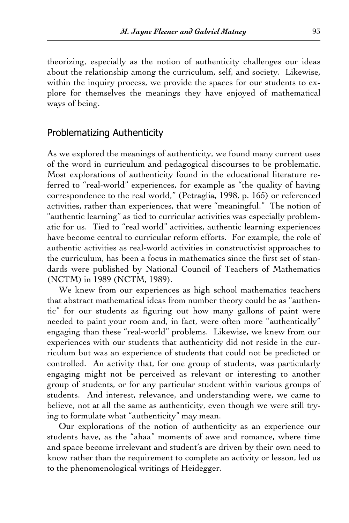theorizing, especially as the notion of authenticity challenges our ideas about the relationship among the curriculum, self, and society. Likewise, within the inquiry process, we provide the spaces for our students to explore for themselves the meanings they have enjoyed of mathematical ways of being.

### Problematizing Authenticity

As we explored the meanings of authenticity, we found many current uses of the word in curriculum and pedagogical discourses to be problematic. Most explorations of authenticity found in the educational literature referred to "real-world" experiences, for example as "the quality of having correspondence to the real world," (Petraglia, 1998, p. 165) or referenced activities, rather than experiences, that were "meaningful." The notion of "authentic learning" as tied to curricular activities was especially problematic for us. Tied to "real world" activities, authentic learning experiences have become central to curricular reform efforts. For example, the role of authentic activities as real-world activities in constructivist approaches to the curriculum, has been a focus in mathematics since the first set of standards were published by National Council of Teachers of Mathematics (NCTM) in 1989 (NCTM, 1989).

We knew from our experiences as high school mathematics teachers that abstract mathematical ideas from number theory could be as "authentic" for our students as figuring out how many gallons of paint were needed to paint your room and, in fact, were often more "authentically" engaging than these "real-world" problems. Likewise, we knew from our experiences with our students that authenticity did not reside in the curriculum but was an experience of students that could not be predicted or controlled. An activity that, for one group of students, was particularly engaging might not be perceived as relevant or interesting to another group of students, or for any particular student within various groups of students. And interest, relevance, and understanding were, we came to believe, not at all the same as authenticity, even though we were still trying to formulate what "authenticity" may mean.

Our explorations of the notion of authenticity as an experience our students have, as the "ahaa" moments of awe and romance, where time and space become irrelevant and student's are driven by their own need to know rather than the requirement to complete an activity or lesson, led us to the phenomenological writings of Heidegger.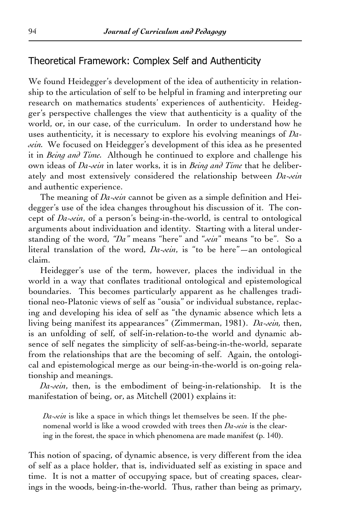## Theoretical Framework: Complex Self and Authenticity

We found Heidegger's development of the idea of authenticity in relationship to the articulation of self to be helpful in framing and interpreting our research on mathematics students' experiences of authenticity. Heidegger's perspective challenges the view that authenticity is a quality of the world, or, in our case, of the curriculum. In order to understand how he uses authenticity, it is necessary to explore his evolving meanings of *Dasein.* We focused on Heidegger's development of this idea as he presented it in *Being and Time.* Although he continued to explore and challenge his own ideas of *Da-sein* in later works, it is in *Being and Time* that he deliberately and most extensively considered the relationship between *Da-sein* and authentic experience.

The meaning of *Da-sein* cannot be given as a simple definition and Heidegger's use of the idea changes throughout his discussion of it. The concept of *Da-sein*, of a person's being-in-the-world, is central to ontological arguments about individuation and identity. Starting with a literal understanding of the word, *"Da"* means "here" and "*sein*" means "to be". So a literal translation of the word, *Da-sein*, is "to be here"—an ontological claim.

Heidegger's use of the term, however, places the individual in the world in a way that conflates traditional ontological and epistemological boundaries. This becomes particularly apparent as he challenges traditional neo-Platonic views of self as "ousia" or individual substance, replacing and developing his idea of self as "the dynamic absence which lets a living being manifest its appearances" (Zimmerman, 1981). *Da-sein,* then, is an unfolding of self, of self-in-relation-to-the world and dynamic absence of self negates the simplicity of self-as-being-in-the-world, separate from the relationships that are the becoming of self. Again, the ontological and epistemological merge as our being-in-the-world is on-going relationship and meanings.

*Da-sein*, then, is the embodiment of being-in-relationship. It is the manifestation of being, or, as Mitchell (2001) explains it:

*Da-sein* is like a space in which things let themselves be seen. If the phenomenal world is like a wood crowded with trees then *Da-sein* is the clearing in the forest, the space in which phenomena are made manifest (p. 140).

This notion of spacing, of dynamic absence, is very different from the idea of self as a place holder, that is, individuated self as existing in space and time. It is not a matter of occupying space, but of creating spaces, clearings in the woods, being-in-the-world. Thus, rather than being as primary,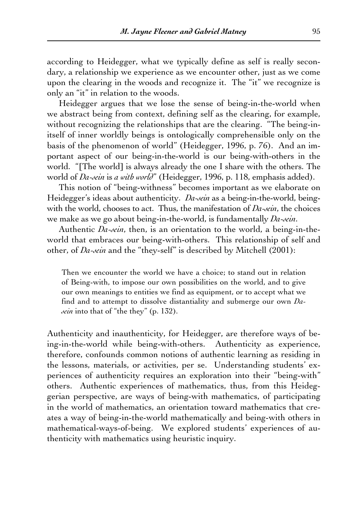according to Heidegger, what we typically define as self is really secondary, a relationship we experience as we encounter other, just as we come upon the clearing in the woods and recognize it. The "it" we recognize is only an "it" in relation to the woods.

Heidegger argues that we lose the sense of being-in-the-world when we abstract being from context, defining self as the clearing, for example, without recognizing the relationships that are the clearing. "The being-initself of inner worldly beings is ontologically comprehensible only on the basis of the phenomenon of world" (Heidegger, 1996, p. 76). And an important aspect of our being-in-the-world is our being-with-others in the world. "[The world] is always already the one I share with the others. The world of *Da-sein* is *a with world*" (Heidegger, 1996, p. 118, emphasis added).

This notion of "being-withness" becomes important as we elaborate on Heidegger's ideas about authenticity. *Da-sein* as a being-in-the-world, beingwith the world, chooses to act. Thus, the manifestation of *Da-sein*, the choices we make as we go about being-in-the-world, is fundamentally *Da-sein*.

Authentic *Da-sein*, then, is an orientation to the world, a being-in-theworld that embraces our being-with-others. This relationship of self and other, of *Da-sein* and the "they-self" is described by Mitchell (2001):

Then we encounter the world we have a choice; to stand out in relation of Being-with, to impose our own possibilities on the world, and to give our own meanings to entities we find as equipment, or to accept what we find and to attempt to dissolve distantiality and submerge our own *Dasein* into that of "the they" (p. 132).

Authenticity and inauthenticity, for Heidegger, are therefore ways of being-in-the-world while being-with-others. Authenticity as experience, therefore, confounds common notions of authentic learning as residing in the lessons, materials, or activities, per se. Understanding students' experiences of authenticity requires an exploration into their "being-with" others. Authentic experiences of mathematics, thus, from this Heideggerian perspective, are ways of being-with mathematics, of participating in the world of mathematics, an orientation toward mathematics that creates a way of being-in-the-world mathematically and being-with others in mathematical-ways-of-being. We explored students' experiences of authenticity with mathematics using heuristic inquiry.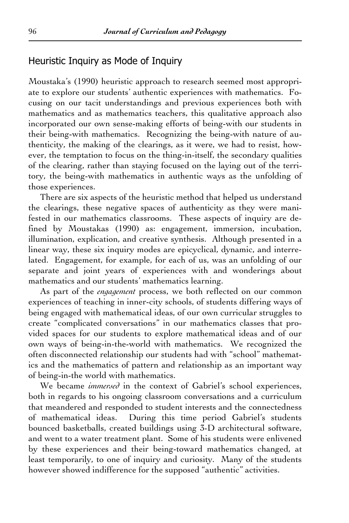## Heuristic Inquiry as Mode of Inquiry

Moustaka's (1990) heuristic approach to research seemed most appropriate to explore our students' authentic experiences with mathematics. Focusing on our tacit understandings and previous experiences both with mathematics and as mathematics teachers, this qualitative approach also incorporated our own sense-making efforts of being-with our students in their being-with mathematics. Recognizing the being-with nature of authenticity, the making of the clearings, as it were, we had to resist, however, the temptation to focus on the thing-in-itself, the secondary qualities of the clearing, rather than staying focused on the laying out of the territory, the being-with mathematics in authentic ways as the unfolding of those experiences.

There are six aspects of the heuristic method that helped us understand the clearings, these negative spaces of authenticity as they were manifested in our mathematics classrooms. These aspects of inquiry are defined by Moustakas (1990) as: engagement, immersion, incubation, illumination, explication, and creative synthesis. Although presented in a linear way, these six inquiry modes are epicyclical, dynamic, and interrelated. Engagement, for example, for each of us, was an unfolding of our separate and joint years of experiences with and wonderings about mathematics and our students' mathematics learning.

As part of the *engagement* process, we both reflected on our common experiences of teaching in inner-city schools, of students differing ways of being engaged with mathematical ideas, of our own curricular struggles to create "complicated conversations" in our mathematics classes that provided spaces for our students to explore mathematical ideas and of our own ways of being-in-the-world with mathematics. We recognized the often disconnected relationship our students had with "school" mathematics and the mathematics of pattern and relationship as an important way of being-in-the world with mathematics.

We became *immersed* in the context of Gabriel's school experiences, both in regards to his ongoing classroom conversations and a curriculum that meandered and responded to student interests and the connectedness of mathematical ideas. During this time period Gabriel's students bounced basketballs, created buildings using 3-D architectural software, and went to a water treatment plant. Some of his students were enlivened by these experiences and their being-toward mathematics changed, at least temporarily, to one of inquiry and curiosity. Many of the students however showed indifference for the supposed "authentic" activities.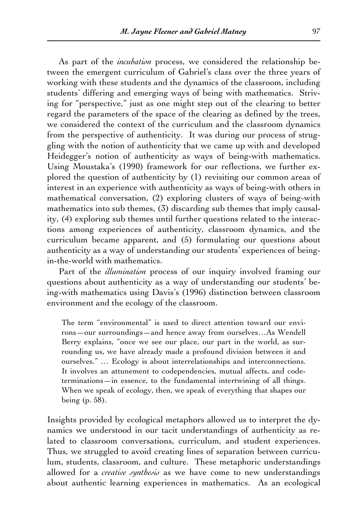As part of the *incubation* process, we considered the relationship between the emergent curriculum of Gabriel's class over the three years of working with these students and the dynamics of the classroom, including students' differing and emerging ways of being with mathematics. Striving for "perspective," just as one might step out of the clearing to better regard the parameters of the space of the clearing as defined by the trees, we considered the context of the curriculum and the classroom dynamics from the perspective of authenticity. It was during our process of struggling with the notion of authenticity that we came up with and developed Heidegger's notion of authenticity as ways of being-with mathematics. Using Moustaka's (1990) framework for our reflections, we further explored the question of authenticity by (1) revisiting our common areas of interest in an experience with authenticity as ways of being-with others in mathematical conversation, (2) exploring clusters of ways of being-with mathematics into sub themes, (3) discarding sub themes that imply causality, (4) exploring sub themes until further questions related to the interactions among experiences of authenticity, classroom dynamics, and the curriculum became apparent, and (5) formulating our questions about authenticity as a way of understanding our students' experiences of beingin-the-world with mathematics.

Part of the *illumination* process of our inquiry involved framing our questions about authenticity as a way of understanding our students' being-with mathematics using Davis's (1996) distinction between classroom environment and the ecology of the classroom.

The term "environmental" is used to direct attention toward our environs—our surroundings—and hence away from ourselves…As Wendell Berry explains, "once we see our place, our part in the world, as surrounding us, we have already made a profound division between it and ourselves." … Ecology is about interrelationships and interconnections. It involves an attunement to codependencies, mutual affects, and codeterminations—in essence, to the fundamental intertwining of all things. When we speak of ecology, then, we speak of everything that shapes our being (p. 58).

Insights provided by ecological metaphors allowed us to interpret the dynamics we understood in our tacit understandings of authenticity as related to classroom conversations, curriculum, and student experiences. Thus, we struggled to avoid creating lines of separation between curriculum, students, classroom, and culture. These metaphoric understandings allowed for a *creative synthesis* as we have come to new understandings about authentic learning experiences in mathematics. As an ecological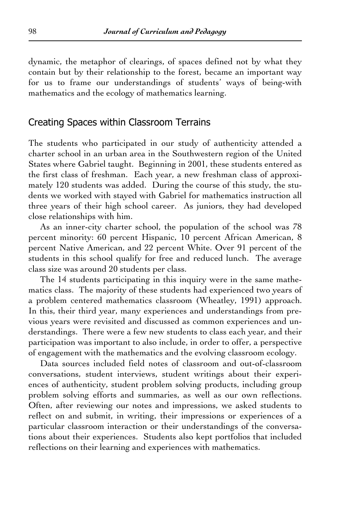dynamic, the metaphor of clearings, of spaces defined not by what they contain but by their relationship to the forest, became an important way for us to frame our understandings of students' ways of being-with mathematics and the ecology of mathematics learning.

## Creating Spaces within Classroom Terrains

The students who participated in our study of authenticity attended a charter school in an urban area in the Southwestern region of the United States where Gabriel taught. Beginning in 2001, these students entered as the first class of freshman. Each year, a new freshman class of approximately 120 students was added. During the course of this study, the students we worked with stayed with Gabriel for mathematics instruction all three years of their high school career. As juniors, they had developed close relationships with him.

As an inner-city charter school, the population of the school was 78 percent minority: 60 percent Hispanic, 10 percent African American, 8 percent Native American, and 22 percent White. Over 91 percent of the students in this school qualify for free and reduced lunch. The average class size was around 20 students per class.

The 14 students participating in this inquiry were in the same mathematics class. The majority of these students had experienced two years of a problem centered mathematics classroom (Wheatley, 1991) approach. In this, their third year, many experiences and understandings from previous years were revisited and discussed as common experiences and understandings. There were a few new students to class each year, and their participation was important to also include, in order to offer, a perspective of engagement with the mathematics and the evolving classroom ecology.

Data sources included field notes of classroom and out-of-classroom conversations, student interviews, student writings about their experiences of authenticity, student problem solving products, including group problem solving efforts and summaries, as well as our own reflections. Often, after reviewing our notes and impressions, we asked students to reflect on and submit, in writing, their impressions or experiences of a particular classroom interaction or their understandings of the conversations about their experiences. Students also kept portfolios that included reflections on their learning and experiences with mathematics.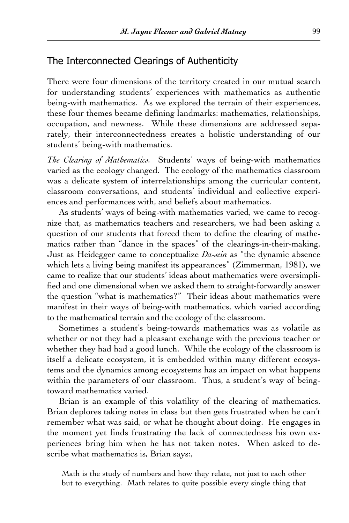# The Interconnected Clearings of Authenticity

There were four dimensions of the territory created in our mutual search for understanding students' experiences with mathematics as authentic being-with mathematics. As we explored the terrain of their experiences, these four themes became defining landmarks: mathematics, relationships, occupation, and newness. While these dimensions are addressed separately, their interconnectedness creates a holistic understanding of our students' being-with mathematics.

*The Clearing of Mathematics.* Students' ways of being-with mathematics varied as the ecology changed. The ecology of the mathematics classroom was a delicate system of interrelationships among the curricular content, classroom conversations, and students' individual and collective experiences and performances with, and beliefs about mathematics.

As students' ways of being-with mathematics varied, we came to recognize that, as mathematics teachers and researchers, we had been asking a question of our students that forced them to define the clearing of mathematics rather than "dance in the spaces" of the clearings-in-their-making. Just as Heidegger came to conceptualize *Da-sein* as "the dynamic absence which lets a living being manifest its appearances" (Zimmerman, 1981), we came to realize that our students' ideas about mathematics were oversimplified and one dimensional when we asked them to straight-forwardly answer the question "what is mathematics?" Their ideas about mathematics were manifest in their ways of being-with mathematics, which varied according to the mathematical terrain and the ecology of the classroom.

Sometimes a student's being-towards mathematics was as volatile as whether or not they had a pleasant exchange with the previous teacher or whether they had had a good lunch. While the ecology of the classroom is itself a delicate ecosystem, it is embedded within many different ecosystems and the dynamics among ecosystems has an impact on what happens within the parameters of our classroom. Thus, a student's way of beingtoward mathematics varied.

Brian is an example of this volatility of the clearing of mathematics. Brian deplores taking notes in class but then gets frustrated when he can't remember what was said, or what he thought about doing. He engages in the moment yet finds frustrating the lack of connectedness his own experiences bring him when he has not taken notes. When asked to describe what mathematics is, Brian says:,

Math is the study of numbers and how they relate, not just to each other but to everything. Math relates to quite possible every single thing that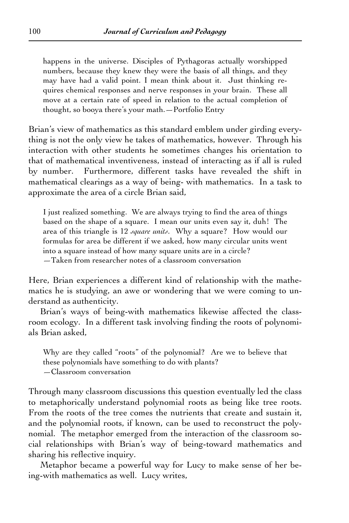happens in the universe. Disciples of Pythagoras actually worshipped numbers, because they knew they were the basis of all things, and they may have had a valid point. I mean think about it. Just thinking requires chemical responses and nerve responses in your brain. These all move at a certain rate of speed in relation to the actual completion of thought, so booya there's your math.—Portfolio Entry

Brian's view of mathematics as this standard emblem under girding everything is not the only view he takes of mathematics, however. Through his interaction with other students he sometimes changes his orientation to that of mathematical inventiveness, instead of interacting as if all is ruled by number. Furthermore, different tasks have revealed the shift in mathematical clearings as a way of being- with mathematics. In a task to approximate the area of a circle Brian said,

I just realized something. We are always trying to find the area of things based on the shape of a square. I mean our units even say it, duh! The area of this triangle is 12 *square units*. Why a square? How would our formulas for area be different if we asked, how many circular units went into a square instead of how many square units are in a circle? —Taken from researcher notes of a classroom conversation

Here, Brian experiences a different kind of relationship with the mathematics he is studying, an awe or wondering that we were coming to understand as authenticity.

Brian's ways of being-with mathematics likewise affected the classroom ecology. In a different task involving finding the roots of polynomials Brian asked,

Why are they called "roots" of the polynomial? Are we to believe that these polynomials have something to do with plants? —Classroom conversation

Through many classroom discussions this question eventually led the class to metaphorically understand polynomial roots as being like tree roots. From the roots of the tree comes the nutrients that create and sustain it, and the polynomial roots, if known, can be used to reconstruct the polynomial. The metaphor emerged from the interaction of the classroom social relationships with Brian's way of being-toward mathematics and sharing his reflective inquiry.

Metaphor became a powerful way for Lucy to make sense of her being-with mathematics as well. Lucy writes,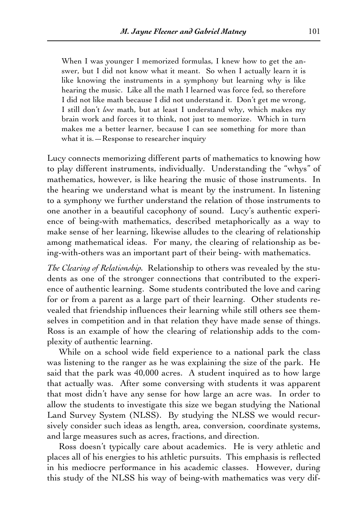When I was younger I memorized formulas, I knew how to get the answer, but I did not know what it meant. So when I actually learn it is like knowing the instruments in a symphony but learning why is like hearing the music. Like all the math I learned was force fed, so therefore I did not like math because I did not understand it. Don't get me wrong, I still don't *love* math, but at least I understand why, which makes my brain work and forces it to think, not just to memorize. Which in turn makes me a better learner, because I can see something for more than what it is.—Response to researcher inquiry

Lucy connects memorizing different parts of mathematics to knowing how to play different instruments, individually. Understanding the "whys" of mathematics, however, is like hearing the music of those instruments. In the hearing we understand what is meant by the instrument. In listening to a symphony we further understand the relation of those instruments to one another in a beautiful cacophony of sound. Lucy's authentic experience of being-with mathematics, described metaphorically as a way to make sense of her learning, likewise alludes to the clearing of relationship among mathematical ideas. For many, the clearing of relationship as being-with-others was an important part of their being- with mathematics.

*The Clearing of Relationship.* Relationship to others was revealed by the students as one of the stronger connections that contributed to the experience of authentic learning. Some students contributed the love and caring for or from a parent as a large part of their learning. Other students revealed that friendship influences their learning while still others see themselves in competition and in that relation they have made sense of things. Ross is an example of how the clearing of relationship adds to the complexity of authentic learning.

While on a school wide field experience to a national park the class was listening to the ranger as he was explaining the size of the park. He said that the park was 40,000 acres. A student inquired as to how large that actually was. After some conversing with students it was apparent that most didn't have any sense for how large an acre was. In order to allow the students to investigate this size we began studying the National Land Survey System (NLSS). By studying the NLSS we would recursively consider such ideas as length, area, conversion, coordinate systems, and large measures such as acres, fractions, and direction.

Ross doesn't typically care about academics. He is very athletic and places all of his energies to his athletic pursuits. This emphasis is reflected in his mediocre performance in his academic classes. However, during this study of the NLSS his way of being-with mathematics was very dif-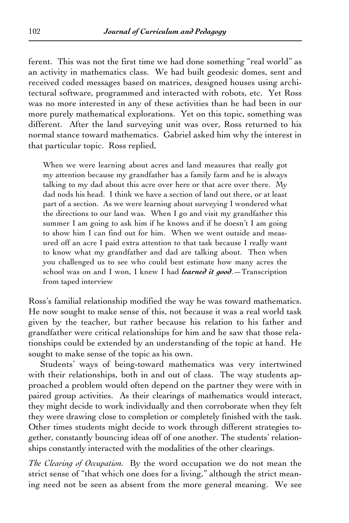ferent. This was not the first time we had done something "real world" as an activity in mathematics class. We had built geodesic domes, sent and received coded messages based on matrices, designed houses using architectural software, programmed and interacted with robots, etc. Yet Ross was no more interested in any of these activities than he had been in our more purely mathematical explorations. Yet on this topic, something was different. After the land surveying unit was over, Ross returned to his normal stance toward mathematics. Gabriel asked him why the interest in that particular topic. Ross replied,

When we were learning about acres and land measures that really got my attention because my grandfather has a family farm and he is always talking to my dad about this acre over here or that acre over there. My dad nods his head. I think we have a section of land out there, or at least part of a section. As we were learning about surveying I wondered what the directions to our land was. When I go and visit my grandfather this summer I am going to ask him if he knows and if he doesn't I am going to show him I can find out for him. When we went outside and measured off an acre I paid extra attention to that task because I really want to know what my grandfather and dad are talking about. Then when you challenged us to see who could best estimate how many acres the school was on and I won, I knew I had *learned it good*.—Transcription from taped interview

Ross's familial relationship modified the way he was toward mathematics. He now sought to make sense of this, not because it was a real world task given by the teacher, but rather because his relation to his father and grandfather were critical relationships for him and he saw that those relationships could be extended by an understanding of the topic at hand. He sought to make sense of the topic as his own.

Students' ways of being-toward mathematics was very intertwined with their relationships, both in and out of class. The way students approached a problem would often depend on the partner they were with in paired group activities. As their clearings of mathematics would interact, they might decide to work individually and then corroborate when they felt they were drawing close to completion or completely finished with the task. Other times students might decide to work through different strategies together, constantly bouncing ideas off of one another. The students' relationships constantly interacted with the modalities of the other clearings.

*The Clearing of Occupation.* By the word occupation we do not mean the strict sense of "that which one does for a living," although the strict meaning need not be seen as absent from the more general meaning. We see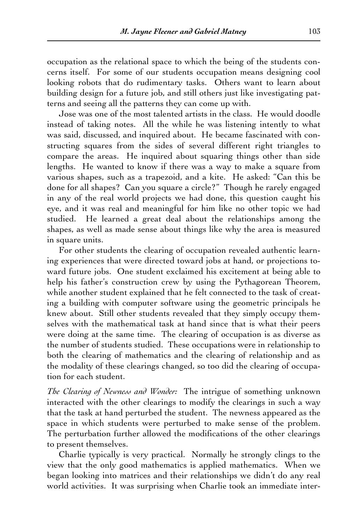occupation as the relational space to which the being of the students concerns itself. For some of our students occupation means designing cool looking robots that do rudimentary tasks. Others want to learn about building design for a future job, and still others just like investigating patterns and seeing all the patterns they can come up with.

Jose was one of the most talented artists in the class. He would doodle instead of taking notes. All the while he was listening intently to what was said, discussed, and inquired about. He became fascinated with constructing squares from the sides of several different right triangles to compare the areas. He inquired about squaring things other than side lengths. He wanted to know if there was a way to make a square from various shapes, such as a trapezoid, and a kite. He asked: "Can this be done for all shapes? Can you square a circle?" Though he rarely engaged in any of the real world projects we had done, this question caught his eye, and it was real and meaningful for him like no other topic we had studied. He learned a great deal about the relationships among the shapes, as well as made sense about things like why the area is measured in square units.

For other students the clearing of occupation revealed authentic learning experiences that were directed toward jobs at hand, or projections toward future jobs. One student exclaimed his excitement at being able to help his father's construction crew by using the Pythagorean Theorem, while another student explained that he felt connected to the task of creating a building with computer software using the geometric principals he knew about. Still other students revealed that they simply occupy themselves with the mathematical task at hand since that is what their peers were doing at the same time. The clearing of occupation is as diverse as the number of students studied. These occupations were in relationship to both the clearing of mathematics and the clearing of relationship and as the modality of these clearings changed, so too did the clearing of occupation for each student.

*The Clearing of Newness and Wonder:* The intrigue of something unknown interacted with the other clearings to modify the clearings in such a way that the task at hand perturbed the student. The newness appeared as the space in which students were perturbed to make sense of the problem. The perturbation further allowed the modifications of the other clearings to present themselves.

Charlie typically is very practical. Normally he strongly clings to the view that the only good mathematics is applied mathematics. When we began looking into matrices and their relationships we didn't do any real world activities. It was surprising when Charlie took an immediate inter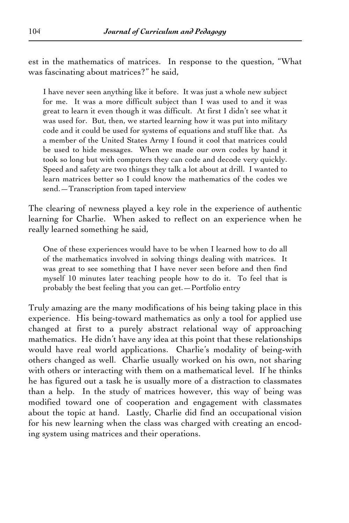est in the mathematics of matrices. In response to the question, "What was fascinating about matrices?" he said,

I have never seen anything like it before. It was just a whole new subject for me. It was a more difficult subject than I was used to and it was great to learn it even though it was difficult. At first I didn't see what it was used for. But, then, we started learning how it was put into military code and it could be used for systems of equations and stuff like that. As a member of the United States Army I found it cool that matrices could be used to hide messages. When we made our own codes by hand it took so long but with computers they can code and decode very quickly. Speed and safety are two things they talk a lot about at drill. I wanted to learn matrices better so I could know the mathematics of the codes we send.—Transcription from taped interview

The clearing of newness played a key role in the experience of authentic learning for Charlie. When asked to reflect on an experience when he really learned something he said,

One of these experiences would have to be when I learned how to do all of the mathematics involved in solving things dealing with matrices. It was great to see something that I have never seen before and then find myself 10 minutes later teaching people how to do it. To feel that is probably the best feeling that you can get.—Portfolio entry

Truly amazing are the many modifications of his being taking place in this experience. His being-toward mathematics as only a tool for applied use changed at first to a purely abstract relational way of approaching mathematics. He didn't have any idea at this point that these relationships would have real world applications. Charlie's modality of being-with others changed as well. Charlie usually worked on his own, not sharing with others or interacting with them on a mathematical level. If he thinks he has figured out a task he is usually more of a distraction to classmates than a help. In the study of matrices however, this way of being was modified toward one of cooperation and engagement with classmates about the topic at hand. Lastly, Charlie did find an occupational vision for his new learning when the class was charged with creating an encoding system using matrices and their operations.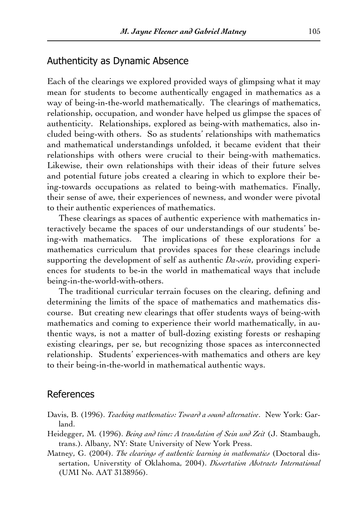#### Authenticity as Dynamic Absence

Each of the clearings we explored provided ways of glimpsing what it may mean for students to become authentically engaged in mathematics as a way of being-in-the-world mathematically. The clearings of mathematics, relationship, occupation, and wonder have helped us glimpse the spaces of authenticity. Relationships, explored as being-with mathematics, also included being-with others. So as students' relationships with mathematics and mathematical understandings unfolded, it became evident that their relationships with others were crucial to their being-with mathematics. Likewise, their own relationships with their ideas of their future selves and potential future jobs created a clearing in which to explore their being-towards occupations as related to being-with mathematics. Finally, their sense of awe, their experiences of newness, and wonder were pivotal to their authentic experiences of mathematics.

These clearings as spaces of authentic experience with mathematics interactively became the spaces of our understandings of our students' being-with mathematics. The implications of these explorations for a mathematics curriculum that provides spaces for these clearings include supporting the development of self as authentic *Da-sein*, providing experiences for students to be-in the world in mathematical ways that include being-in-the-world-with-others.

The traditional curricular terrain focuses on the clearing, defining and determining the limits of the space of mathematics and mathematics discourse. But creating new clearings that offer students ways of being-with mathematics and coming to experience their world mathematically, in authentic ways, is not a matter of bull-dozing existing forests or reshaping existing clearings, per se, but recognizing those spaces as interconnected relationship. Students' experiences-with mathematics and others are key to their being-in-the-world in mathematical authentic ways.

### References

- Davis, B. (1996). *Teaching mathematics: Toward a sound alternative*. New York: Garland.
- Heidegger, M. (1996). *Being and time: A translation of Sein und Zeit* (J. Stambaugh, trans.). Albany, NY: State University of New York Press.
- Matney, G. (2004). *The clearings of authentic learning in mathematics* (Doctoral dissertation, Universtity of Oklahoma, 2004). *Dissertation Abstracts International* (UMI No. AAT 3138956).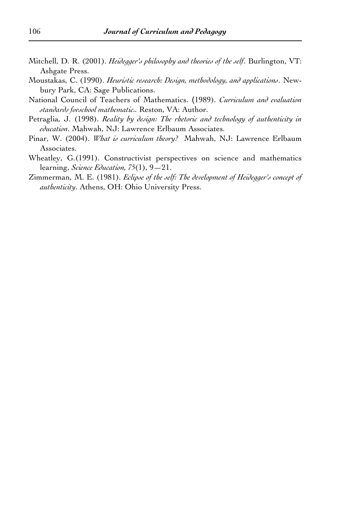- Mitchell, D. R. (2001). *Heidegger's philosophy and theories of the self*. Burlington, VT: Ashgate Press.
- Moustakas, C. (1990). *Heuristic research: Design, methodology, and applications*. Newbury Park, CA: Sage Publications.
- National Council of Teachers of Mathematics. (1989). *Curriculum and evaluation standards forschool mathematic..* Reston, VA: Author.
- Petraglia, J. (1998). *Reality by design: The rhetoric and technology of authenticity in education*. Mahwah, NJ: Lawrence Erlbaum Associates.
- Pinar, W. (2004). *What is curriculum theory?* Mahwah, NJ: Lawrence Erlbaum Associates.
- Wheatley, G.(1991). Constructivist perspectives on science and mathematics learning, *Science Education, 75*(1), 9—21.
- Zimmerman, M. E. (1981). *Eclipse of the self: The development of Heidegger's concept of authenticity*. Athens, OH: Ohio University Press.